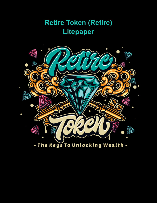# **Retire Token (Retire) Litepaper**

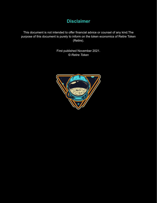# **Disclaimer**

This document is not intended to offer financial advice or counsel of any kind.The purpose of this document is purely to inform on the token economics of Retire Token (Retire).

> First published November 2021. *© Retire Token*

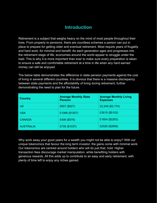## **Introduction**

Retirement is a subject that weighs heavy on the mind of most people throughout their lives. From property to pensions, there are countless schemes a person can put in place to prepare for getting older and eventual retirement. Most require years of frugality and hard work, for minimal end benefit. As each generation ages and progresses into the retirement stage of life, economies around the world appear to struggle under the load. This is why it is more important than ever to make sure every preparation is taken to ensure a safe and comfortable retirement at a time in life when any hard earned money can still be enjoyed.

The below table demonstrates the difference in state pension payments against the cost of living in several different countries. It is obvious that there is a massive discrepancy between state payments and the affordability of living during retirement, further demonstrating the need to plan for the future.

| <b>Country</b>   | <b>Average Monthly State</b><br><b>Pension</b> | <b>Average Monthly Living</b><br><b>Expenses</b> |
|------------------|------------------------------------------------|--------------------------------------------------|
| <b>UK</b>        | £657 (\$927)                                   | £2,249 (\$3,174)                                 |
| <b>USA</b>       | £1068 (\$1507)                                 | £3615 (\$5102)                                   |
| <b>CANADA</b>    | £408 (\$576)                                   | £1604 (\$2263)                                   |
| <b>AUSTRALIA</b> | £735 (\$1037)                                  | £2026 (\$2859)                                   |

Why work away your good years for a wealth you might not be able to enjoy? With our unique tokenomics that favour the long term investor, the gains come with minimal work. Our tokenomics are centred around holders who will do just that, hold. Higher transaction fees discourage market manipulation, while benefiting holders with generous rewards. All this adds up to contribute to an easy and early retirement, with plenty of time left to enjoy any riches gained.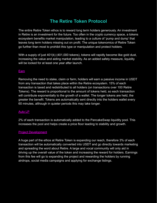# **The Retire Token Protocol**

The entire Retire Token ethos is to reward long term holders generously. An investment in Retire is an investment for the future. Too often in the crypto currency space, a tokens ecosystem benefits market manipulation, leading to a culture of 'pump and dump' that leaves long term holders missing out on profit. The unique tokenomics of Retire Token go further than most to prohibit this type or manipulation and protect holders.

With a supply of just 401(k) (401,000 tokens), tokens will rapidly become like gold dust, increasing the value and aiding market stability. As an added safety measure, liquidity will be locked for at least one year after launch.

### **Earn**

Removing the need to stake, claim or farm, holders will earn a passive income in USDT from any transaction that takes place within the Retire ecosystem. 15% of each transaction is taxed and redistributed to all holders (on transactions over 100 Retire Tokens). The reward is proportional to the amount of tokens held, so each transaction will contribute exponentially to the growth of a wallet. The longer tokens are held, the greater the benefit. Tokens are automatically sent directly into the holders wallet every 60 minutes, although in quieter periods this may take longer.

### Auto LP

2% of each transaction is automatically added to the PancakeSwap liquidity pool. This increases the pool and helps create a price floor leading to stability and growth.

### Project Development

A huge part of the ethos at Retire Token is expanding our reach, therefore 3% of each transaction will be automatically converted into USDT and go directly towards marketing and spreading the word about Retire. A large and vocal community will only aid in driving up the overall value of the token and increasing the reward for holders. Earnings from this fee will go to expanding the project and rewarding the holders by running airdrops, social media campaigns and applying for exchange listings.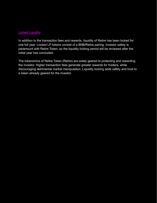#### **Locked Liquidity**

In addition to the transaction fees and rewards, liquidity of Retire has been locked for one full year. Locked LP tokens consist of a BNB/Retire pairing. Investor safety is paramount with Retire Token, so the liquidity locking period will be reviewed after the initial year has concluded.

The tokenomics of Retire Token (Retire) are solely geared to protecting and rewarding the investor. Higher transaction fees generate greater rewards for holders, while discouraging detrimental market manipulation. Liquidity locking adds safety and trust to a token already geared for the investor.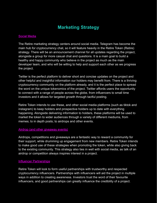# **Marketing Strategy**

#### Social Media

The Retire marketing strategy centers around social media. Telegram has become the main hub for cryptocurrency chat, so it will feature heavily in the Retire Token (Retire) strategy. There will be an announcement channel for all updates regarding the project, alongside a group for more casual chat and questions. It is a main goal to build a healthy and happy community who believe in the project as much as the main developer team, and who will be willing to help and support each other as we progress the project.

Twitter is the perfect platform to deliver short and concise updates on the project and other helpful and insightful information our holders may benefit from. There is a thriving cryptocurrency community on the platform already, and it is the perfect place to spread the word on the unique tokenomics of the project. Twitter affords users the opportunity to connect with a range of people across the globe, from influencers to small time investors and it allows for targeted growth through tactful posting.

Retire Token intends to use these, and other social media platforms (such as tiktok and instagram) to keep holders and prospective holders up to date with everything happening. Alongside delivering information to holders, these platforms will be used to market the token to wider audiences through a variety of different mediums, from memes; to in depth posts; to airdrops and other events.

#### Airdrop (and other giveaway events)

Airdrops, competitions and giveaways are a fantastic way to reward a community for their support, while drumming up engagement from new members. Retire Token intends to make good use of these strategies when promoting the token, while also giving back to the existing community. This strategy also ties in well with social media, as talk of an airdrop or competition always inspires interest in a project.

#### Influencer Partnerships

Retire Token will look to form useful partnerships with trustworthy and respected cryptocurrency influencers. Partnerships with influencers will aid the project in multiple ways in addition to creating awareness. Investors trust the word of their favourite influencers, and good partnerships can greatly influence the credibility of a project.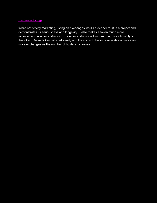### Exchange listings

While not strictly marketing, listing on exchanges instills a deeper trust in a project and demonstrates its seriousness and longevity. It also makes a token much more accessible to a wider audience. This wider audience will in turn bring more liquidity to the token. Retire Token will start small, with the vision to become available on more and more exchanges as the number of holders increases.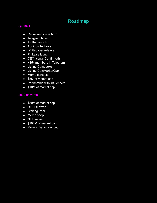# **Roadmap**

### Q4 2021

- Retire website is born
- Telegram launch
- Twitter launch
- Audit by Techrate
- Whitepaper release
- Pinksale launch
- CEX listing (Confirmed)
- +15k members in Telegram
- Listing Coingecko
- Listing CoinMarketCap
- Meme contests
- \$5M of market cap
- Partnership with influencers
- \$10M of market cap

### 2022 onwards

- \$50M of market cap
- RETIREswap
- Staking Pool
- Merch shop
- NFT series
- \$100M of market cap
- More to be announced...